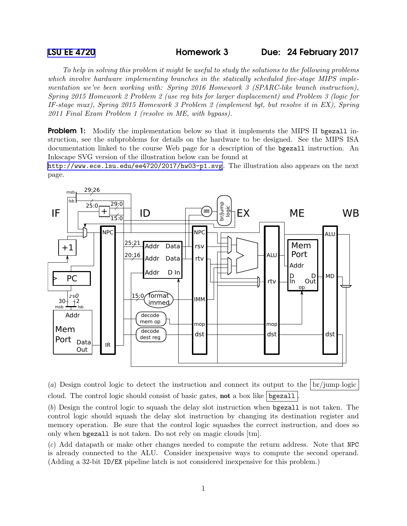*To help in solving this problem it might be useful to study the solutions to the following problems which involve hardware implementing branches in the statically scheduled five-stage MIPS implementation we've been working with: Spring 2016 Homework 3 (SPARC-like branch instruction), Spring 2015 Homework 2 Problem 2 (use reg bits for larger displacement) and Problem 3 (logic for IF-stage mux), Spring 2015 Homework 3 Problem 2 (implement bgt, but resolve it in EX), Spring 2011 Final Exam Problem 1 (resolve in ME, with bypass).*

**Problem 1:** Modify the implementation below so that it implements the MIPS II bgezall instruction, see the subproblems for details on the hardware to be designed. See the MIPS ISA documentation linked to the course Web page for a description of the bgezall instruction. An Inkscape SVG version of the illustration below can be found at

<http://www.ece.lsu.edu/ee4720/2017/hw03-p1.svg>. The illustration also appears on the next page.



(*a*) Design control logic to detect the instruction and connect its output to the br/jump logic cloud. The control logic should consist of basic gates, not a box like bgezall .

(*b*) Design the control logic to squash the delay slot instruction when bgezall is not taken. The control logic should squash the delay slot instruction by changing its destination register and memory operation. Be sure that the control logic squashes the correct instruction, and does so only when bgezall is not taken. Do not rely on magic clouds [tm].

(*c*) Add datapath or make other changes needed to compute the return address. Note that NPC is already connected to the ALU. Consider inexpensive ways to compute the second operand. (Adding a 32-bit ID/EX pipeline latch is not considered inexpensive for this problem.)